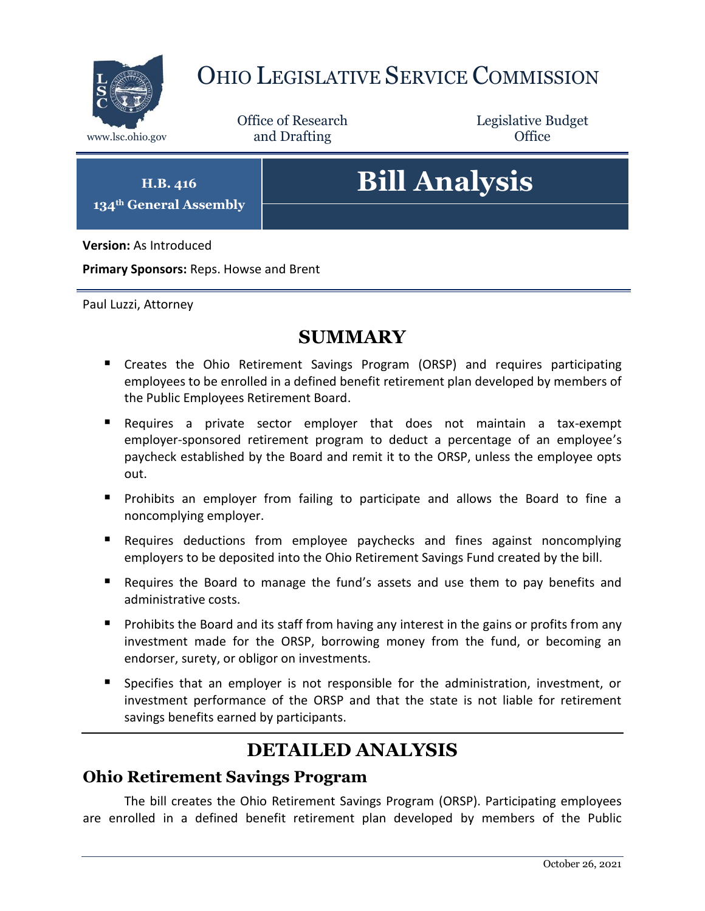

## OHIO LEGISLATIVE SERVICE COMMISSION

Office of Research www.lsc.ohio.gov **and Drafting Office** 

Legislative Budget

**H.B. 416 134th General Assembly**

# **Bill Analysis**

**Version:** As Introduced

**Primary Sponsors:** Reps. Howse and Brent

Paul Luzzi, Attorney

### **SUMMARY**

- Creates the Ohio Retirement Savings Program (ORSP) and requires participating employees to be enrolled in a defined benefit retirement plan developed by members of the Public Employees Retirement Board.
- Requires a private sector employer that does not maintain a tax-exempt employer-sponsored retirement program to deduct a percentage of an employee's paycheck established by the Board and remit it to the ORSP, unless the employee opts out.
- **Prohibits an employer from failing to participate and allows the Board to fine a** noncomplying employer.
- Requires deductions from employee paychecks and fines against noncomplying employers to be deposited into the Ohio Retirement Savings Fund created by the bill.
- Requires the Board to manage the fund's assets and use them to pay benefits and administrative costs.
- **Prohibits the Board and its staff from having any interest in the gains or profits from any** investment made for the ORSP, borrowing money from the fund, or becoming an endorser, surety, or obligor on investments.
- Specifies that an employer is not responsible for the administration, investment, or investment performance of the ORSP and that the state is not liable for retirement savings benefits earned by participants.

## **DETAILED ANALYSIS**

#### **Ohio Retirement Savings Program**

The bill creates the Ohio Retirement Savings Program (ORSP). Participating employees are enrolled in a defined benefit retirement plan developed by members of the Public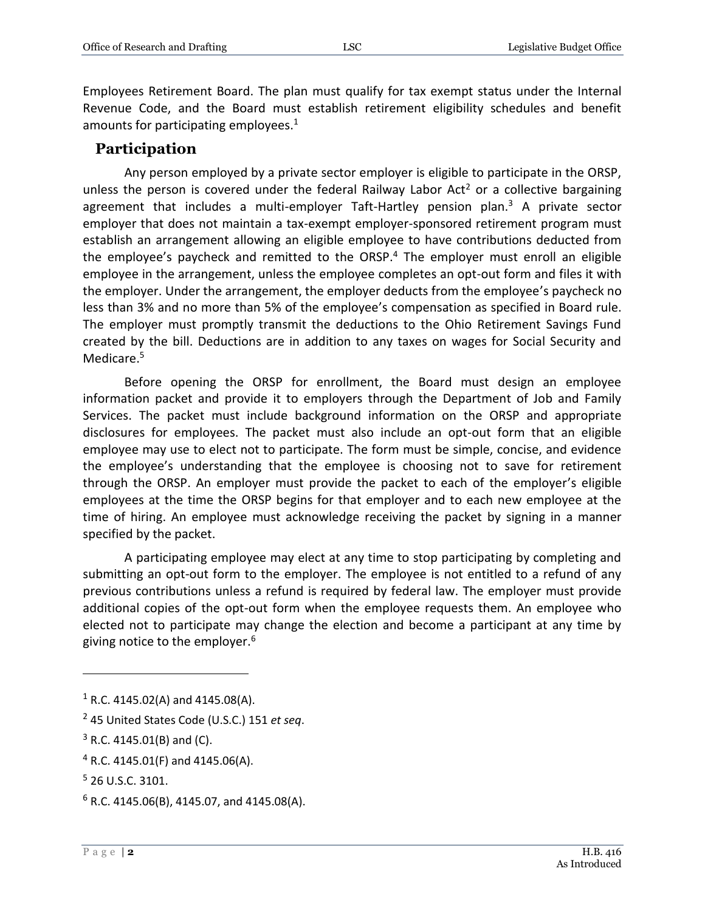Employees Retirement Board. The plan must qualify for tax exempt status under the Internal Revenue Code, and the Board must establish retirement eligibility schedules and benefit amounts for participating employees.<sup>1</sup>

#### **Participation**

Any person employed by a private sector employer is eligible to participate in the ORSP, unless the person is covered under the federal Railway Labor Act<sup>2</sup> or a collective bargaining agreement that includes a multi-employer Taft-Hartley pension plan. $3$  A private sector employer that does not maintain a tax-exempt employer-sponsored retirement program must establish an arrangement allowing an eligible employee to have contributions deducted from the employee's paycheck and remitted to the ORSP. $4$  The employer must enroll an eligible employee in the arrangement, unless the employee completes an opt-out form and files it with the employer. Under the arrangement, the employer deducts from the employee's paycheck no less than 3% and no more than 5% of the employee's compensation as specified in Board rule. The employer must promptly transmit the deductions to the Ohio Retirement Savings Fund created by the bill. Deductions are in addition to any taxes on wages for Social Security and Medicare.<sup>5</sup>

Before opening the ORSP for enrollment, the Board must design an employee information packet and provide it to employers through the Department of Job and Family Services. The packet must include background information on the ORSP and appropriate disclosures for employees. The packet must also include an opt-out form that an eligible employee may use to elect not to participate. The form must be simple, concise, and evidence the employee's understanding that the employee is choosing not to save for retirement through the ORSP. An employer must provide the packet to each of the employer's eligible employees at the time the ORSP begins for that employer and to each new employee at the time of hiring. An employee must acknowledge receiving the packet by signing in a manner specified by the packet.

A participating employee may elect at any time to stop participating by completing and submitting an opt-out form to the employer. The employee is not entitled to a refund of any previous contributions unless a refund is required by federal law. The employer must provide additional copies of the opt-out form when the employee requests them. An employee who elected not to participate may change the election and become a participant at any time by giving notice to the employer.<sup>6</sup>

 $1$  R.C. 4145.02(A) and 4145.08(A).

<sup>2</sup> 45 United States Code (U.S.C.) 151 *et seq*.

 $3$  R.C. 4145.01(B) and (C).

<sup>4</sup> R.C. 4145.01(F) and 4145.06(A).

<sup>5</sup> 26 U.S.C. 3101.

 $6$  R.C. 4145.06(B), 4145.07, and 4145.08(A).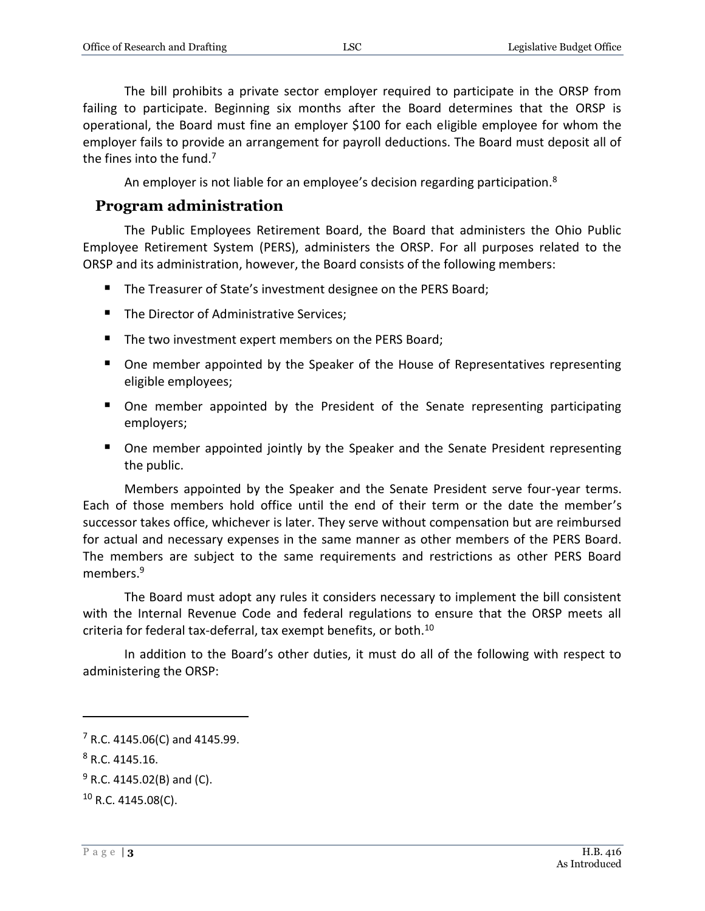The bill prohibits a private sector employer required to participate in the ORSP from failing to participate. Beginning six months after the Board determines that the ORSP is operational, the Board must fine an employer \$100 for each eligible employee for whom the employer fails to provide an arrangement for payroll deductions. The Board must deposit all of the fines into the fund.<sup>7</sup>

An employer is not liable for an employee's decision regarding participation.<sup>8</sup>

#### **Program administration**

The Public Employees Retirement Board, the Board that administers the Ohio Public Employee Retirement System (PERS), administers the ORSP. For all purposes related to the ORSP and its administration, however, the Board consists of the following members:

- The Treasurer of State's investment designee on the PERS Board;
- The Director of Administrative Services:
- The two investment expert members on the PERS Board;
- One member appointed by the Speaker of the House of Representatives representing eligible employees;
- One member appointed by the President of the Senate representing participating employers;
- One member appointed jointly by the Speaker and the Senate President representing the public.

Members appointed by the Speaker and the Senate President serve four-year terms. Each of those members hold office until the end of their term or the date the member's successor takes office, whichever is later. They serve without compensation but are reimbursed for actual and necessary expenses in the same manner as other members of the PERS Board. The members are subject to the same requirements and restrictions as other PERS Board members.<sup>9</sup>

The Board must adopt any rules it considers necessary to implement the bill consistent with the Internal Revenue Code and federal regulations to ensure that the ORSP meets all criteria for federal tax-deferral, tax exempt benefits, or both.<sup>10</sup>

In addition to the Board's other duties, it must do all of the following with respect to administering the ORSP:

 $7$  R.C. 4145.06(C) and 4145.99.

 $8$  R.C. 4145.16.

 $9$  R.C. 4145.02(B) and (C).

 $10$  R.C. 4145.08(C).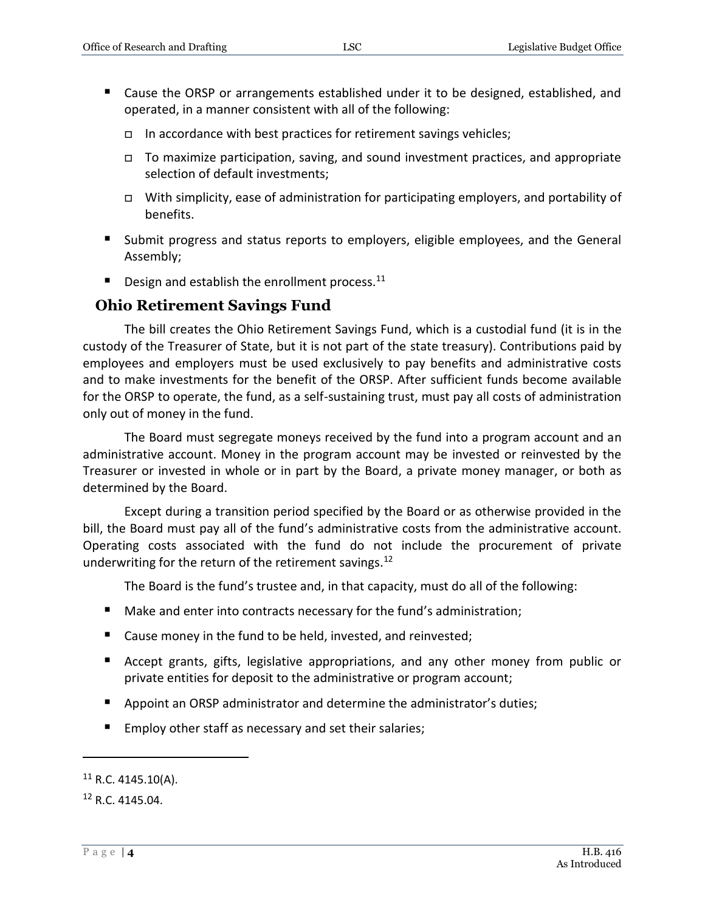- Cause the ORSP or arrangements established under it to be designed, established, and operated, in a manner consistent with all of the following:
	- In accordance with best practices for retirement savings vehicles;
	- To maximize participation, saving, and sound investment practices, and appropriate selection of default investments;
	- With simplicity, ease of administration for participating employers, and portability of benefits.
- **Submit progress and status reports to employers, eligible employees, and the General** Assembly;
- $\blacksquare$  Design and establish the enrollment process.<sup>11</sup>

#### **Ohio Retirement Savings Fund**

The bill creates the Ohio Retirement Savings Fund, which is a custodial fund (it is in the custody of the Treasurer of State, but it is not part of the state treasury). Contributions paid by employees and employers must be used exclusively to pay benefits and administrative costs and to make investments for the benefit of the ORSP. After sufficient funds become available for the ORSP to operate, the fund, as a self-sustaining trust, must pay all costs of administration only out of money in the fund.

The Board must segregate moneys received by the fund into a program account and an administrative account. Money in the program account may be invested or reinvested by the Treasurer or invested in whole or in part by the Board, a private money manager, or both as determined by the Board.

Except during a transition period specified by the Board or as otherwise provided in the bill, the Board must pay all of the fund's administrative costs from the administrative account. Operating costs associated with the fund do not include the procurement of private underwriting for the return of the retirement savings.<sup>12</sup>

The Board is the fund's trustee and, in that capacity, must do all of the following:

- Make and enter into contracts necessary for the fund's administration;
- Cause money in the fund to be held, invested, and reinvested;
- Accept grants, gifts, legislative appropriations, and any other money from public or private entities for deposit to the administrative or program account;
- Appoint an ORSP administrator and determine the administrator's duties;
- Employ other staff as necessary and set their salaries;

 $11$  R.C. 4145.10(A).

<sup>12</sup> R.C. 4145.04.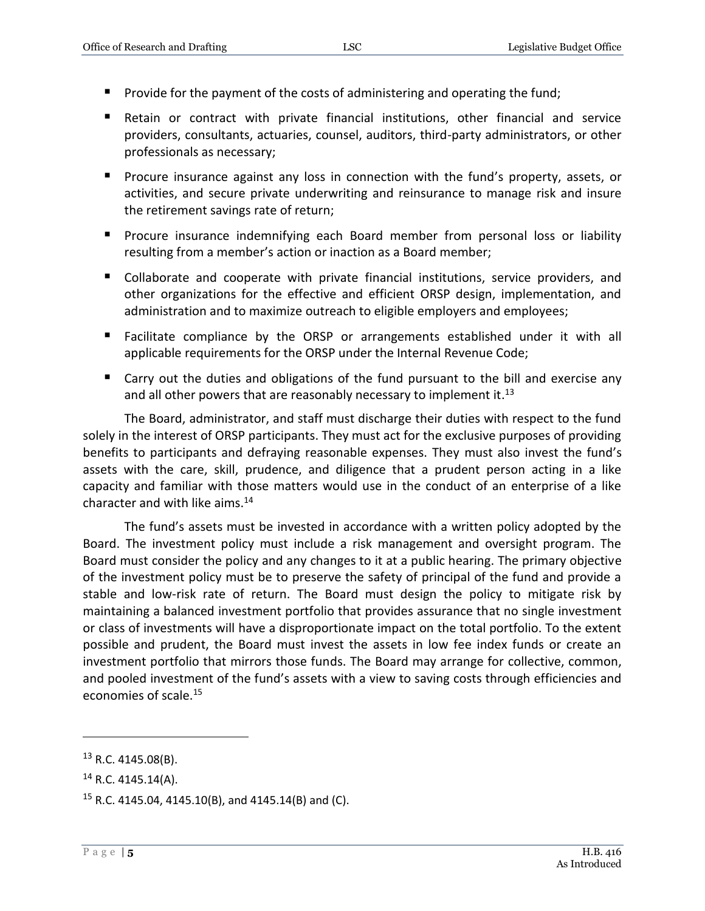- **Provide for the payment of the costs of administering and operating the fund;**
- Retain or contract with private financial institutions, other financial and service providers, consultants, actuaries, counsel, auditors, third-party administrators, or other professionals as necessary;
- **Procure insurance against any loss in connection with the fund's property, assets, or** activities, and secure private underwriting and reinsurance to manage risk and insure the retirement savings rate of return;
- **Procure insurance indemnifying each Board member from personal loss or liability** resulting from a member's action or inaction as a Board member;
- Collaborate and cooperate with private financial institutions, service providers, and other organizations for the effective and efficient ORSP design, implementation, and administration and to maximize outreach to eligible employers and employees;
- **E** Facilitate compliance by the ORSP or arrangements established under it with all applicable requirements for the ORSP under the Internal Revenue Code;
- Carry out the duties and obligations of the fund pursuant to the bill and exercise any and all other powers that are reasonably necessary to implement it.<sup>13</sup>

The Board, administrator, and staff must discharge their duties with respect to the fund solely in the interest of ORSP participants. They must act for the exclusive purposes of providing benefits to participants and defraying reasonable expenses. They must also invest the fund's assets with the care, skill, prudence, and diligence that a prudent person acting in a like capacity and familiar with those matters would use in the conduct of an enterprise of a like character and with like aims. $14$ 

The fund's assets must be invested in accordance with a written policy adopted by the Board. The investment policy must include a risk management and oversight program. The Board must consider the policy and any changes to it at a public hearing. The primary objective of the investment policy must be to preserve the safety of principal of the fund and provide a stable and low-risk rate of return. The Board must design the policy to mitigate risk by maintaining a balanced investment portfolio that provides assurance that no single investment or class of investments will have a disproportionate impact on the total portfolio. To the extent possible and prudent, the Board must invest the assets in low fee index funds or create an investment portfolio that mirrors those funds. The Board may arrange for collective, common, and pooled investment of the fund's assets with a view to saving costs through efficiencies and economies of scale.<sup>15</sup>

<sup>&</sup>lt;sup>13</sup> R.C. 4145.08(B).

 $14$  R.C. 4145.14(A).

<sup>&</sup>lt;sup>15</sup> R.C. 4145.04, 4145.10(B), and 4145.14(B) and (C).